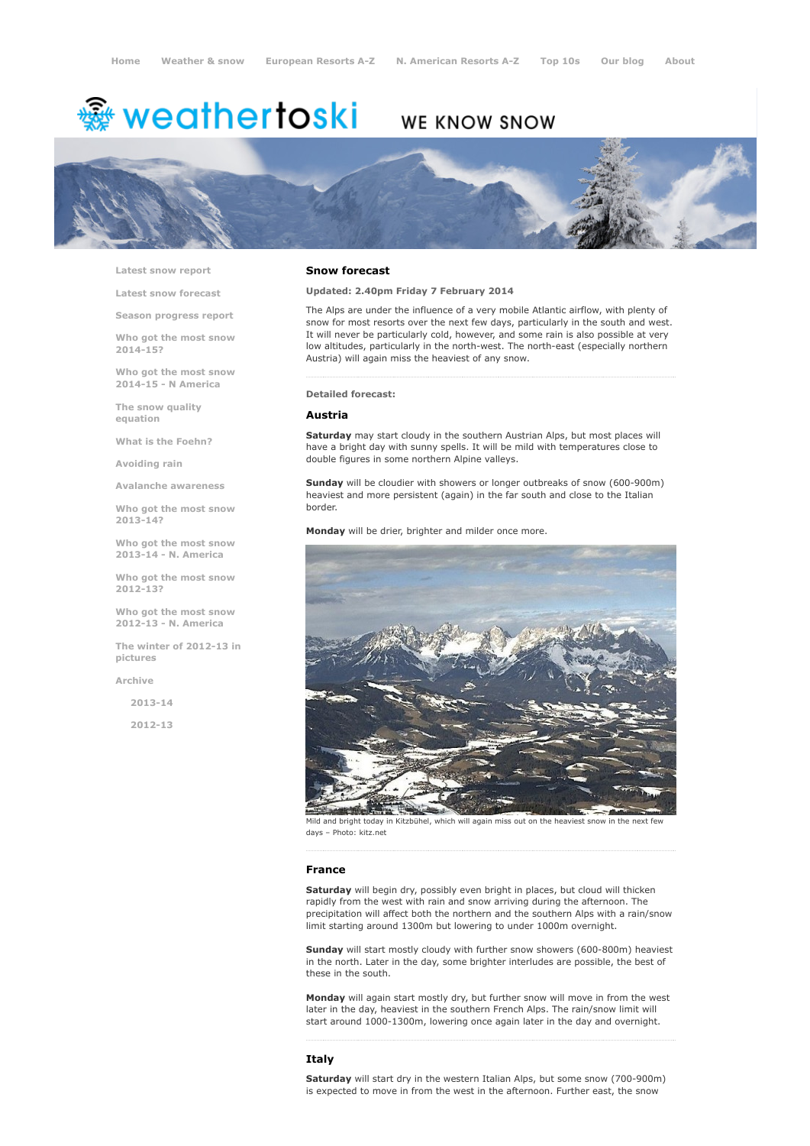# <del>鑾</del> weathertoski

# WE KNOW SNOW



Latest snow [report](http://www.weathertoski.co.uk/weather-snow/latest-snow-report/)

Latest snow [forecast](http://www.weathertoski.co.uk/weather-snow/latest-snow-forecast/)

Season [progress](http://www.weathertoski.co.uk/weather-snow/season-progress-report/) report

Who got the most snow 2014-15?

Who got the most snow 2014-15 - N America

The snow quality [equation](http://www.weathertoski.co.uk/weather-snow/the-snow-quality-equation/)

What is the [Foehn?](http://www.weathertoski.co.uk/weather-snow/what-is-the-foehn/)

[Avoiding](http://www.weathertoski.co.uk/weather-snow/avoiding-rain/) rain

Avalanche [awareness](http://www.weathertoski.co.uk/weather-snow/avalanche-awareness/)

Who got the most snow 2013-14?

Who got the most snow 2013-14 - N. America

Who got the most snow 2012-13?

Who got the most snow 2012-13 - N. America

The winter of 2012-13 in pictures

[Archive](http://www.weathertoski.co.uk/weather-snow/archive/)

2013-14

2012-13

#### Snow forecast

## Updated: 2.40pm Friday 7 February 2014

The Alps are under the influence of a very mobile Atlantic airflow, with plenty of snow for most resorts over the next few days, particularly in the south and west. It will never be particularly cold, however, and some rain is also possible at very low altitudes, particularly in the north-west. The north-east (especially northern Austria) will again miss the heaviest of any snow.

#### Detailed forecast:

# Austria

Saturday may start cloudy in the southern Austrian Alps, but most places will have a bright day with sunny spells. It will be mild with temperatures close to double figures in some northern Alpine valleys.

Sunday will be cloudier with showers or longer outbreaks of snow (600-900m) heaviest and more persistent (again) in the far south and close to the Italian border.

Monday will be drier, brighter and milder once more.



Mild and bright today in Kitzbühel, which will again miss out on the heaviest snow in the next few days – Photo: kitz.net

#### France

Saturday will begin dry, possibly even bright in places, but cloud will thicken rapidly from the west with rain and snow arriving during the afternoon. The precipitation will affect both the northern and the southern Alps with a rain/snow limit starting around 1300m but lowering to under 1000m overnight.

Sunday will start mostly cloudy with further snow showers (600-800m) heaviest in the north. Later in the day, some brighter interludes are possible, the best of these in the south.

Monday will again start mostly dry, but further snow will move in from the west later in the day, heaviest in the southern French Alps. The rain/snow limit will start around 1000-1300m, lowering once again later in the day and overnight.

#### Italy

Saturday will start dry in the western Italian Alps, but some snow (700-900m) is expected to move in from the west in the afternoon. Further east, the snow